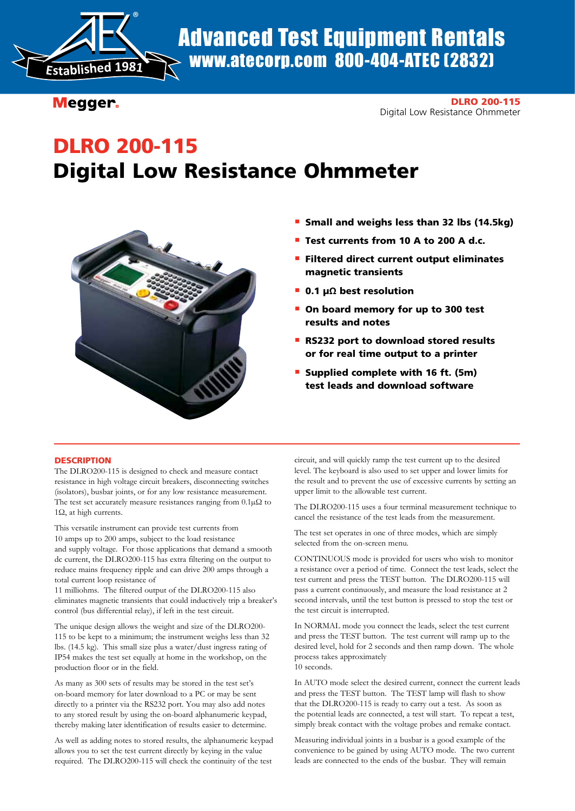

Advanced Test Equipment Rentals www.atecorp.com 800-404-ATEC (2832)

Megger.

DLRO 200-115 Digital Low Resistance Ohmmeter

# DLRO 200-115 Digital Low Resistance Ohmmeter



- **Small and weighs less than 32 lbs (14.5kg)**
- Test currents from 10 A to 200 A d.c.
- **Filtered direct current output eliminates** magnetic transients
- **n** 0.1 µΩ best resolution
- **n** On board memory for up to 300 test results and notes
- **RS232 port to download stored results** or for real time output to a printer
- **Supplied complete with 16 ft. (5m)** test leads and download software

# **DESCRIPTION**

The DLRO200-115 is designed to check and measure contact resistance in high voltage circuit breakers, disconnecting switches (isolators), busbar joints, or for any low resistance measurement. The test set accurately measure resistances ranging from 0.1µΩ to 1Ω, at high currents.

This versatile instrument can provide test currents from 10 amps up to 200 amps, subject to the load resistance and supply voltage. For those applications that demand a smooth dc current, the DLRO200-115 has extra filtering on the output to reduce mains frequency ripple and can drive 200 amps through a total current loop resistance of

11 milliohms. The filtered output of the DLRO200-115 also eliminates magnetic transients that could inductively trip a breaker's control (bus differential relay), if left in the test circuit.

The unique design allows the weight and size of the DLRO200- 115 to be kept to a minimum; the instrument weighs less than 32 lbs. (14.5 kg). This small size plus a water/dust ingress rating of IP54 makes the test set equally at home in the workshop, on the production floor or in the field.

As many as 300 sets of results may be stored in the test set's on-board memory for later download to a PC or may be sent directly to a printer via the RS232 port. You may also add notes to any stored result by using the on-board alphanumeric keypad, thereby making later identification of results easier to determine.

As well as adding notes to stored results, the alphanumeric keypad allows you to set the test current directly by keying in the value required. The DLRO200-115 will check the continuity of the test

circuit, and will quickly ramp the test current up to the desired level. The keyboard is also used to set upper and lower limits for the result and to prevent the use of excessive currents by setting an upper limit to the allowable test current.

The DLRO200-115 uses a four terminal measurement technique to cancel the resistance of the test leads from the measurement.

The test set operates in one of three modes, which are simply selected from the on-screen menu.

CONTINUOUS mode is provided for users who wish to monitor a resistance over a period of time. Connect the test leads, select the test current and press the TEST button. The DLRO200-115 will pass a current continuously, and measure the load resistance at 2 second intervals, until the test button is pressed to stop the test or the test circuit is interrupted.

In NORMAL mode you connect the leads, select the test current and press the TEST button. The test current will ramp up to the desired level, hold for 2 seconds and then ramp down. The whole process takes approximately 10 seconds.

In AUTO mode select the desired current, connect the current leads and press the TEST button. The TEST lamp will flash to show that the DLRO200-115 is ready to carry out a test. As soon as the potential leads are connected, a test will start. To repeat a test, simply break contact with the voltage probes and remake contact.

Measuring individual joints in a busbar is a good example of the convenience to be gained by using AUTO mode. The two current leads are connected to the ends of the busbar. They will remain